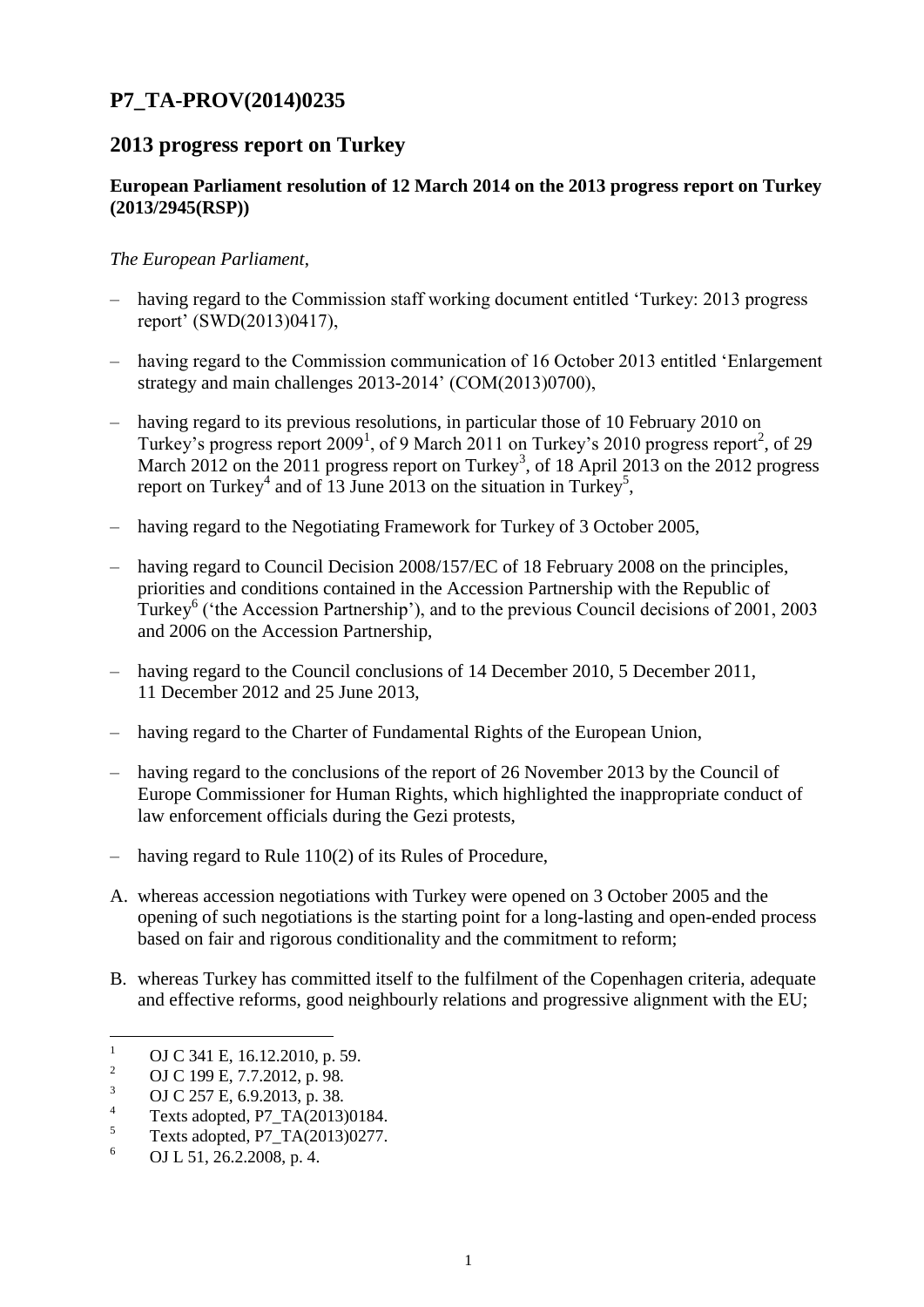# **P7\_TA-PROV(2014)0235**

# **2013 progress report on Turkey**

## **European Parliament resolution of 12 March 2014 on the 2013 progress report on Turkey (2013/2945(RSP))**

#### *The European Parliament*,

- having regard to the Commission staff working document entitled 'Turkey: 2013 progress report' (SWD(2013)0417),
- having regard to the Commission communication of 16 October 2013 entitled 'Enlargement strategy and main challenges 2013-2014' (COM(2013)0700),
- having regard to its previous resolutions, in particular those of 10 February 2010 on Turkey's progress report 2009<sup>1</sup>, of 9 March 2011 on Turkey's 2010 progress report<sup>2</sup>, of 29 March 2012 on the 2011 progress report on Turkey<sup>3</sup>, of 18 April 2013 on the 2012 progress report on Turkey<sup>4</sup> and of 13 June 2013 on the situation in Turkey<sup>5</sup>,
- having regard to the Negotiating Framework for Turkey of 3 October 2005,
- having regard to Council Decision 2008/157/EC of 18 February 2008 on the principles, priorities and conditions contained in the Accession Partnership with the Republic of Turkey<sup>6</sup> ('the Accession Partnership'), and to the previous Council decisions of 2001, 2003 and 2006 on the Accession Partnership,
- having regard to the Council conclusions of 14 December 2010, 5 December 2011, 11 December 2012 and 25 June 2013,
- having regard to the Charter of Fundamental Rights of the European Union,
- having regard to the conclusions of the report of 26 November 2013 by the Council of Europe Commissioner for Human Rights, which highlighted the inappropriate conduct of law enforcement officials during the Gezi protests,
- having regard to Rule 110(2) of its Rules of Procedure,
- A. whereas accession negotiations with Turkey were opened on 3 October 2005 and the opening of such negotiations is the starting point for a long-lasting and open-ended process based on fair and rigorous conditionality and the commitment to reform;
- B. whereas Turkey has committed itself to the fulfilment of the Copenhagen criteria, adequate and effective reforms, good neighbourly relations and progressive alignment with the EU;

 $\mathbf{1}$ <sup>1</sup> OJ C 341 E, 16.12.2010, p. 59.

<sup>&</sup>lt;sup>2</sup> OJ C 199 E, 7.7.2012, p. 98.

 $\frac{3}{4}$  OJ C 257 E, 6.9.2013, p. 38.

 $^{4}$  Texts adopted, P7\_TA(2013)0184.

 $^{5}$  Texts adopted, P7\_TA(2013)0277.

<sup>6</sup> OJ L 51, 26.2.2008, p. 4.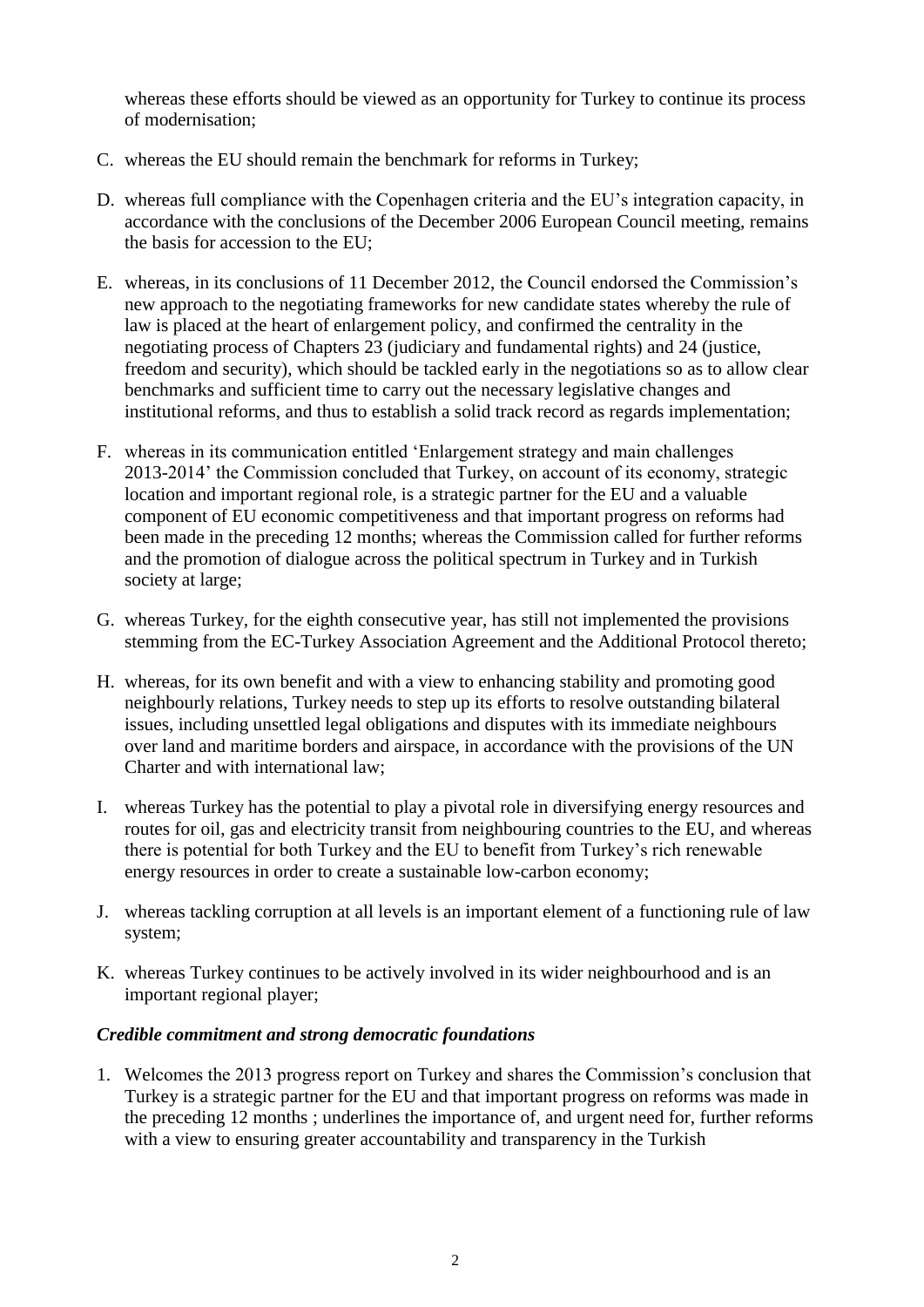whereas these efforts should be viewed as an opportunity for Turkey to continue its process of modernisation;

- C. whereas the EU should remain the benchmark for reforms in Turkey;
- D. whereas full compliance with the Copenhagen criteria and the EU's integration capacity, in accordance with the conclusions of the December 2006 European Council meeting, remains the basis for accession to the EU;
- E. whereas, in its conclusions of 11 December 2012, the Council endorsed the Commission's new approach to the negotiating frameworks for new candidate states whereby the rule of law is placed at the heart of enlargement policy, and confirmed the centrality in the negotiating process of Chapters 23 (judiciary and fundamental rights) and 24 (justice, freedom and security), which should be tackled early in the negotiations so as to allow clear benchmarks and sufficient time to carry out the necessary legislative changes and institutional reforms, and thus to establish a solid track record as regards implementation;
- F. whereas in its communication entitled 'Enlargement strategy and main challenges 2013-2014' the Commission concluded that Turkey, on account of its economy, strategic location and important regional role, is a strategic partner for the EU and a valuable component of EU economic competitiveness and that important progress on reforms had been made in the preceding 12 months; whereas the Commission called for further reforms and the promotion of dialogue across the political spectrum in Turkey and in Turkish society at large;
- G. whereas Turkey, for the eighth consecutive year, has still not implemented the provisions stemming from the EC-Turkey Association Agreement and the Additional Protocol thereto;
- H. whereas, for its own benefit and with a view to enhancing stability and promoting good neighbourly relations, Turkey needs to step up its efforts to resolve outstanding bilateral issues, including unsettled legal obligations and disputes with its immediate neighbours over land and maritime borders and airspace, in accordance with the provisions of the UN Charter and with international law;
- I. whereas Turkey has the potential to play a pivotal role in diversifying energy resources and routes for oil, gas and electricity transit from neighbouring countries to the EU, and whereas there is potential for both Turkey and the EU to benefit from Turkey's rich renewable energy resources in order to create a sustainable low-carbon economy;
- J. whereas tackling corruption at all levels is an important element of a functioning rule of law system;
- K. whereas Turkey continues to be actively involved in its wider neighbourhood and is an important regional player;

## *Credible commitment and strong democratic foundations*

1. Welcomes the 2013 progress report on Turkey and shares the Commission's conclusion that Turkey is a strategic partner for the EU and that important progress on reforms was made in the preceding 12 months ; underlines the importance of, and urgent need for, further reforms with a view to ensuring greater accountability and transparency in the Turkish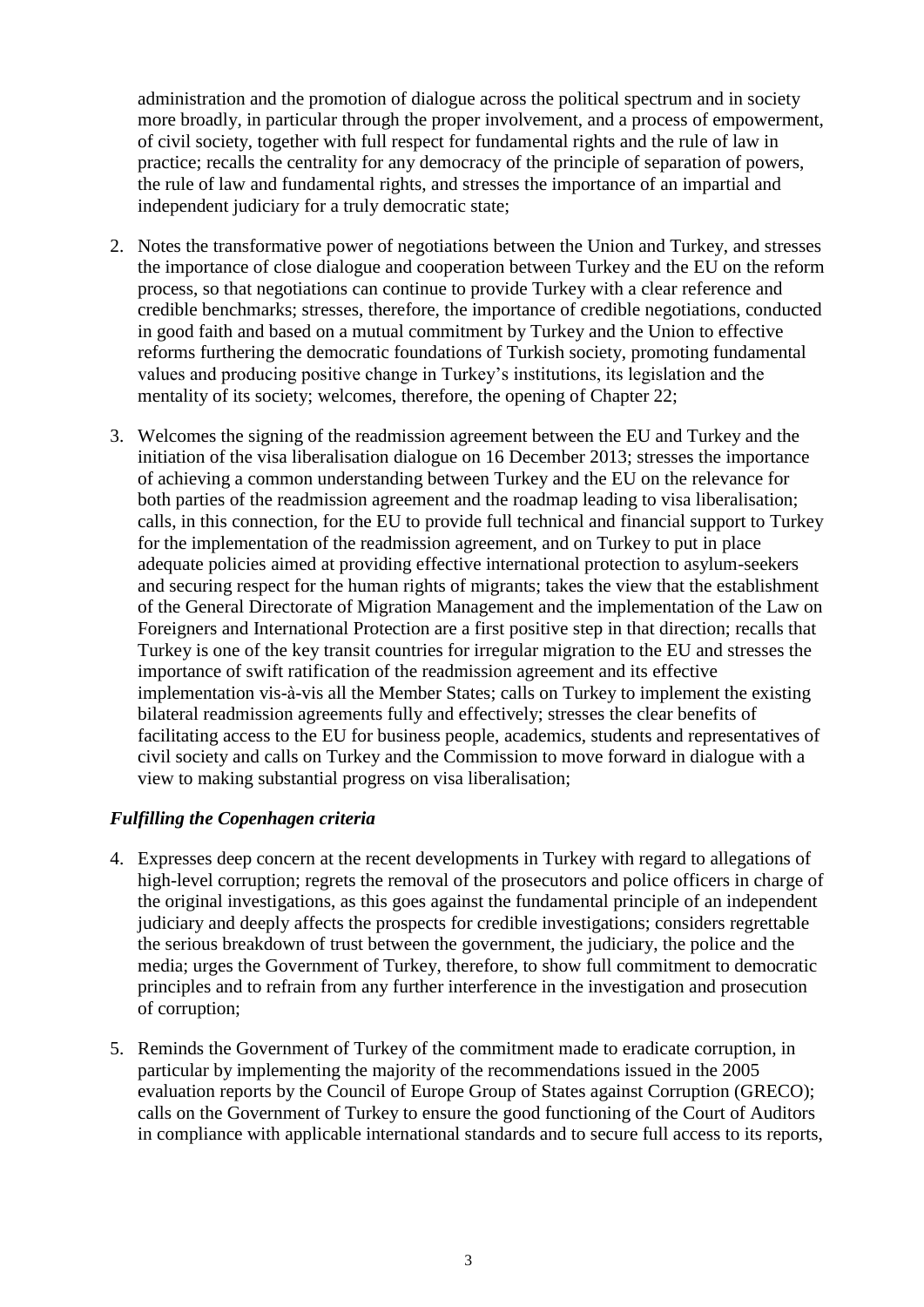administration and the promotion of dialogue across the political spectrum and in society more broadly, in particular through the proper involvement, and a process of empowerment, of civil society, together with full respect for fundamental rights and the rule of law in practice; recalls the centrality for any democracy of the principle of separation of powers, the rule of law and fundamental rights, and stresses the importance of an impartial and independent judiciary for a truly democratic state;

- 2. Notes the transformative power of negotiations between the Union and Turkey, and stresses the importance of close dialogue and cooperation between Turkey and the EU on the reform process, so that negotiations can continue to provide Turkey with a clear reference and credible benchmarks; stresses, therefore, the importance of credible negotiations, conducted in good faith and based on a mutual commitment by Turkey and the Union to effective reforms furthering the democratic foundations of Turkish society, promoting fundamental values and producing positive change in Turkey's institutions, its legislation and the mentality of its society; welcomes, therefore, the opening of Chapter 22;
- 3. Welcomes the signing of the readmission agreement between the EU and Turkey and the initiation of the visa liberalisation dialogue on 16 December 2013; stresses the importance of achieving a common understanding between Turkey and the EU on the relevance for both parties of the readmission agreement and the roadmap leading to visa liberalisation; calls, in this connection, for the EU to provide full technical and financial support to Turkey for the implementation of the readmission agreement, and on Turkey to put in place adequate policies aimed at providing effective international protection to asylum-seekers and securing respect for the human rights of migrants; takes the view that the establishment of the General Directorate of Migration Management and the implementation of the Law on Foreigners and International Protection are a first positive step in that direction; recalls that Turkey is one of the key transit countries for irregular migration to the EU and stresses the importance of swift ratification of the readmission agreement and its effective implementation vis-à-vis all the Member States; calls on Turkey to implement the existing bilateral readmission agreements fully and effectively; stresses the clear benefits of facilitating access to the EU for business people, academics, students and representatives of civil society and calls on Turkey and the Commission to move forward in dialogue with a view to making substantial progress on visa liberalisation;

## *Fulfilling the Copenhagen criteria*

- 4. Expresses deep concern at the recent developments in Turkey with regard to allegations of high-level corruption; regrets the removal of the prosecutors and police officers in charge of the original investigations, as this goes against the fundamental principle of an independent judiciary and deeply affects the prospects for credible investigations; considers regrettable the serious breakdown of trust between the government, the judiciary, the police and the media; urges the Government of Turkey, therefore, to show full commitment to democratic principles and to refrain from any further interference in the investigation and prosecution of corruption;
- 5. Reminds the Government of Turkey of the commitment made to eradicate corruption, in particular by implementing the majority of the recommendations issued in the 2005 evaluation reports by the Council of Europe Group of States against Corruption (GRECO); calls on the Government of Turkey to ensure the good functioning of the Court of Auditors in compliance with applicable international standards and to secure full access to its reports,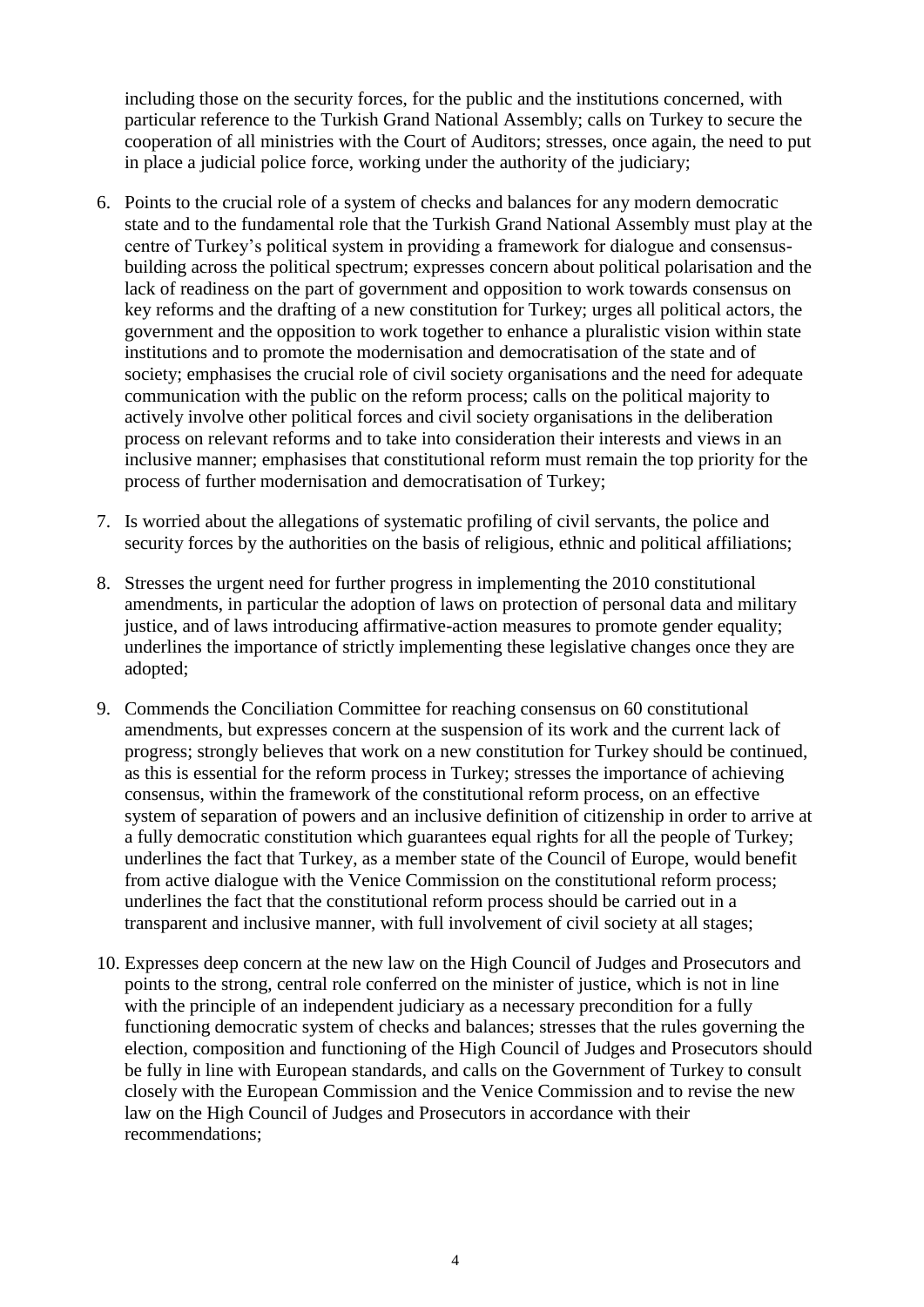including those on the security forces, for the public and the institutions concerned, with particular reference to the Turkish Grand National Assembly; calls on Turkey to secure the cooperation of all ministries with the Court of Auditors; stresses, once again, the need to put in place a judicial police force, working under the authority of the judiciary;

- 6. Points to the crucial role of a system of checks and balances for any modern democratic state and to the fundamental role that the Turkish Grand National Assembly must play at the centre of Turkey's political system in providing a framework for dialogue and consensusbuilding across the political spectrum; expresses concern about political polarisation and the lack of readiness on the part of government and opposition to work towards consensus on key reforms and the drafting of a new constitution for Turkey; urges all political actors, the government and the opposition to work together to enhance a pluralistic vision within state institutions and to promote the modernisation and democratisation of the state and of society; emphasises the crucial role of civil society organisations and the need for adequate communication with the public on the reform process; calls on the political majority to actively involve other political forces and civil society organisations in the deliberation process on relevant reforms and to take into consideration their interests and views in an inclusive manner; emphasises that constitutional reform must remain the top priority for the process of further modernisation and democratisation of Turkey;
- 7. Is worried about the allegations of systematic profiling of civil servants, the police and security forces by the authorities on the basis of religious, ethnic and political affiliations;
- 8. Stresses the urgent need for further progress in implementing the 2010 constitutional amendments, in particular the adoption of laws on protection of personal data and military justice, and of laws introducing affirmative-action measures to promote gender equality; underlines the importance of strictly implementing these legislative changes once they are adopted;
- 9. Commends the Conciliation Committee for reaching consensus on 60 constitutional amendments, but expresses concern at the suspension of its work and the current lack of progress; strongly believes that work on a new constitution for Turkey should be continued, as this is essential for the reform process in Turkey; stresses the importance of achieving consensus, within the framework of the constitutional reform process, on an effective system of separation of powers and an inclusive definition of citizenship in order to arrive at a fully democratic constitution which guarantees equal rights for all the people of Turkey; underlines the fact that Turkey, as a member state of the Council of Europe, would benefit from active dialogue with the Venice Commission on the constitutional reform process; underlines the fact that the constitutional reform process should be carried out in a transparent and inclusive manner, with full involvement of civil society at all stages;
- 10. Expresses deep concern at the new law on the High Council of Judges and Prosecutors and points to the strong, central role conferred on the minister of justice, which is not in line with the principle of an independent judiciary as a necessary precondition for a fully functioning democratic system of checks and balances; stresses that the rules governing the election, composition and functioning of the High Council of Judges and Prosecutors should be fully in line with European standards, and calls on the Government of Turkey to consult closely with the European Commission and the Venice Commission and to revise the new law on the High Council of Judges and Prosecutors in accordance with their recommendations;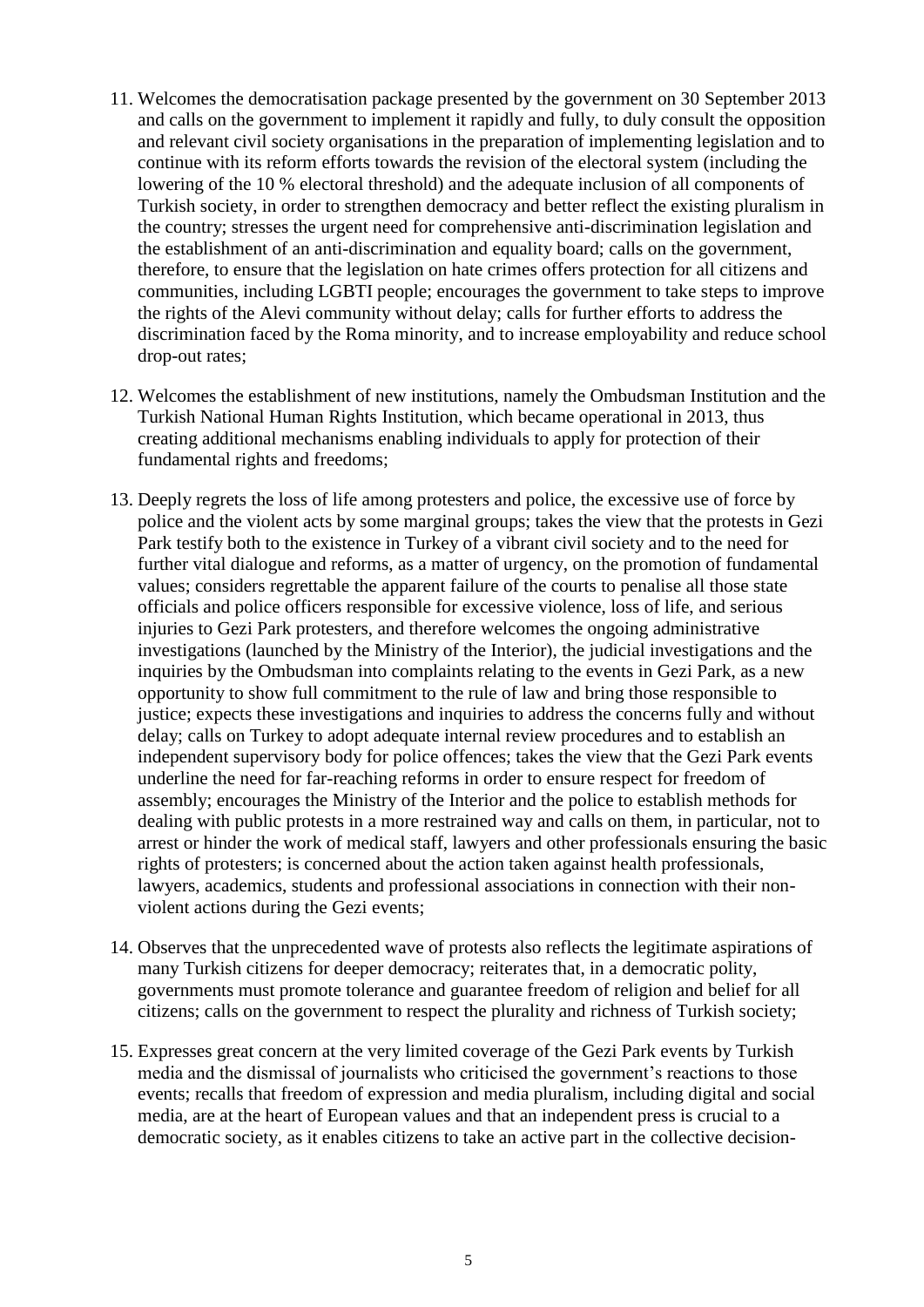- 11. Welcomes the democratisation package presented by the government on 30 September 2013 and calls on the government to implement it rapidly and fully, to duly consult the opposition and relevant civil society organisations in the preparation of implementing legislation and to continue with its reform efforts towards the revision of the electoral system (including the lowering of the 10 % electoral threshold) and the adequate inclusion of all components of Turkish society, in order to strengthen democracy and better reflect the existing pluralism in the country; stresses the urgent need for comprehensive anti-discrimination legislation and the establishment of an anti-discrimination and equality board; calls on the government, therefore, to ensure that the legislation on hate crimes offers protection for all citizens and communities, including LGBTI people; encourages the government to take steps to improve the rights of the Alevi community without delay; calls for further efforts to address the discrimination faced by the Roma minority, and to increase employability and reduce school drop-out rates;
- 12. Welcomes the establishment of new institutions, namely the Ombudsman Institution and the Turkish National Human Rights Institution, which became operational in 2013, thus creating additional mechanisms enabling individuals to apply for protection of their fundamental rights and freedoms;
- 13. Deeply regrets the loss of life among protesters and police, the excessive use of force by police and the violent acts by some marginal groups; takes the view that the protests in Gezi Park testify both to the existence in Turkey of a vibrant civil society and to the need for further vital dialogue and reforms, as a matter of urgency, on the promotion of fundamental values; considers regrettable the apparent failure of the courts to penalise all those state officials and police officers responsible for excessive violence, loss of life, and serious injuries to Gezi Park protesters, and therefore welcomes the ongoing administrative investigations (launched by the Ministry of the Interior), the judicial investigations and the inquiries by the Ombudsman into complaints relating to the events in Gezi Park, as a new opportunity to show full commitment to the rule of law and bring those responsible to justice; expects these investigations and inquiries to address the concerns fully and without delay; calls on Turkey to adopt adequate internal review procedures and to establish an independent supervisory body for police offences; takes the view that the Gezi Park events underline the need for far-reaching reforms in order to ensure respect for freedom of assembly; encourages the Ministry of the Interior and the police to establish methods for dealing with public protests in a more restrained way and calls on them, in particular, not to arrest or hinder the work of medical staff, lawyers and other professionals ensuring the basic rights of protesters; is concerned about the action taken against health professionals, lawyers, academics, students and professional associations in connection with their nonviolent actions during the Gezi events;
- 14. Observes that the unprecedented wave of protests also reflects the legitimate aspirations of many Turkish citizens for deeper democracy; reiterates that, in a democratic polity, governments must promote tolerance and guarantee freedom of religion and belief for all citizens; calls on the government to respect the plurality and richness of Turkish society;
- 15. Expresses great concern at the very limited coverage of the Gezi Park events by Turkish media and the dismissal of journalists who criticised the government's reactions to those events; recalls that freedom of expression and media pluralism, including digital and social media, are at the heart of European values and that an independent press is crucial to a democratic society, as it enables citizens to take an active part in the collective decision-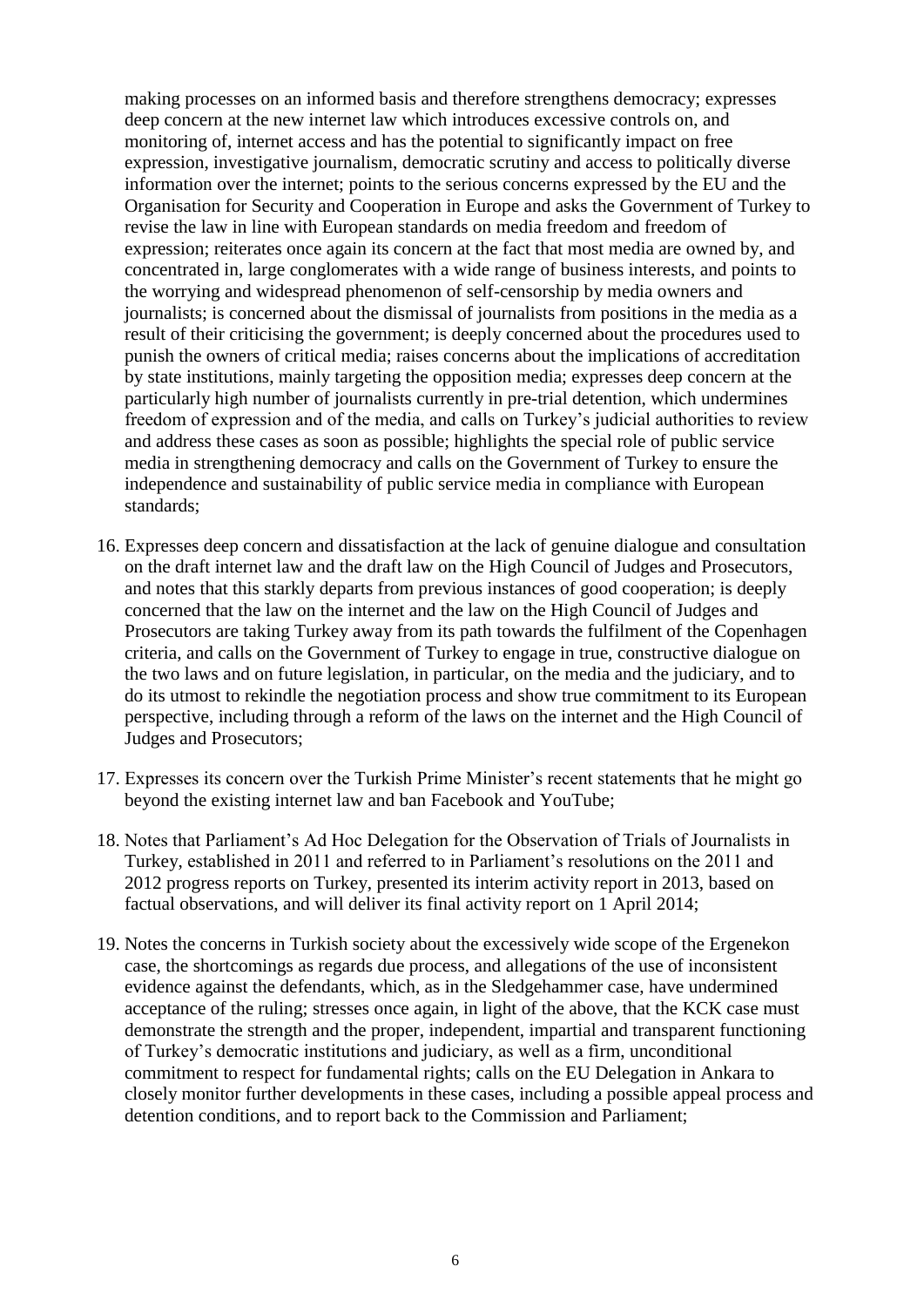making processes on an informed basis and therefore strengthens democracy; expresses deep concern at the new internet law which introduces excessive controls on, and monitoring of, internet access and has the potential to significantly impact on free expression, investigative journalism, democratic scrutiny and access to politically diverse information over the internet; points to the serious concerns expressed by the EU and the Organisation for Security and Cooperation in Europe and asks the Government of Turkey to revise the law in line with European standards on media freedom and freedom of expression; reiterates once again its concern at the fact that most media are owned by, and concentrated in, large conglomerates with a wide range of business interests, and points to the worrying and widespread phenomenon of self-censorship by media owners and journalists; is concerned about the dismissal of journalists from positions in the media as a result of their criticising the government; is deeply concerned about the procedures used to punish the owners of critical media; raises concerns about the implications of accreditation by state institutions, mainly targeting the opposition media; expresses deep concern at the particularly high number of journalists currently in pre-trial detention, which undermines freedom of expression and of the media, and calls on Turkey's judicial authorities to review and address these cases as soon as possible; highlights the special role of public service media in strengthening democracy and calls on the Government of Turkey to ensure the independence and sustainability of public service media in compliance with European standards;

- 16. Expresses deep concern and dissatisfaction at the lack of genuine dialogue and consultation on the draft internet law and the draft law on the High Council of Judges and Prosecutors, and notes that this starkly departs from previous instances of good cooperation; is deeply concerned that the law on the internet and the law on the High Council of Judges and Prosecutors are taking Turkey away from its path towards the fulfilment of the Copenhagen criteria, and calls on the Government of Turkey to engage in true, constructive dialogue on the two laws and on future legislation, in particular, on the media and the judiciary, and to do its utmost to rekindle the negotiation process and show true commitment to its European perspective, including through a reform of the laws on the internet and the High Council of Judges and Prosecutors;
- 17. Expresses its concern over the Turkish Prime Minister's recent statements that he might go beyond the existing internet law and ban Facebook and YouTube;
- 18. Notes that Parliament's Ad Hoc Delegation for the Observation of Trials of Journalists in Turkey, established in 2011 and referred to in Parliament's resolutions on the 2011 and 2012 progress reports on Turkey, presented its interim activity report in 2013, based on factual observations, and will deliver its final activity report on 1 April 2014;
- 19. Notes the concerns in Turkish society about the excessively wide scope of the Ergenekon case, the shortcomings as regards due process, and allegations of the use of inconsistent evidence against the defendants, which, as in the Sledgehammer case, have undermined acceptance of the ruling; stresses once again, in light of the above, that the KCK case must demonstrate the strength and the proper, independent, impartial and transparent functioning of Turkey's democratic institutions and judiciary, as well as a firm, unconditional commitment to respect for fundamental rights; calls on the EU Delegation in Ankara to closely monitor further developments in these cases, including a possible appeal process and detention conditions, and to report back to the Commission and Parliament;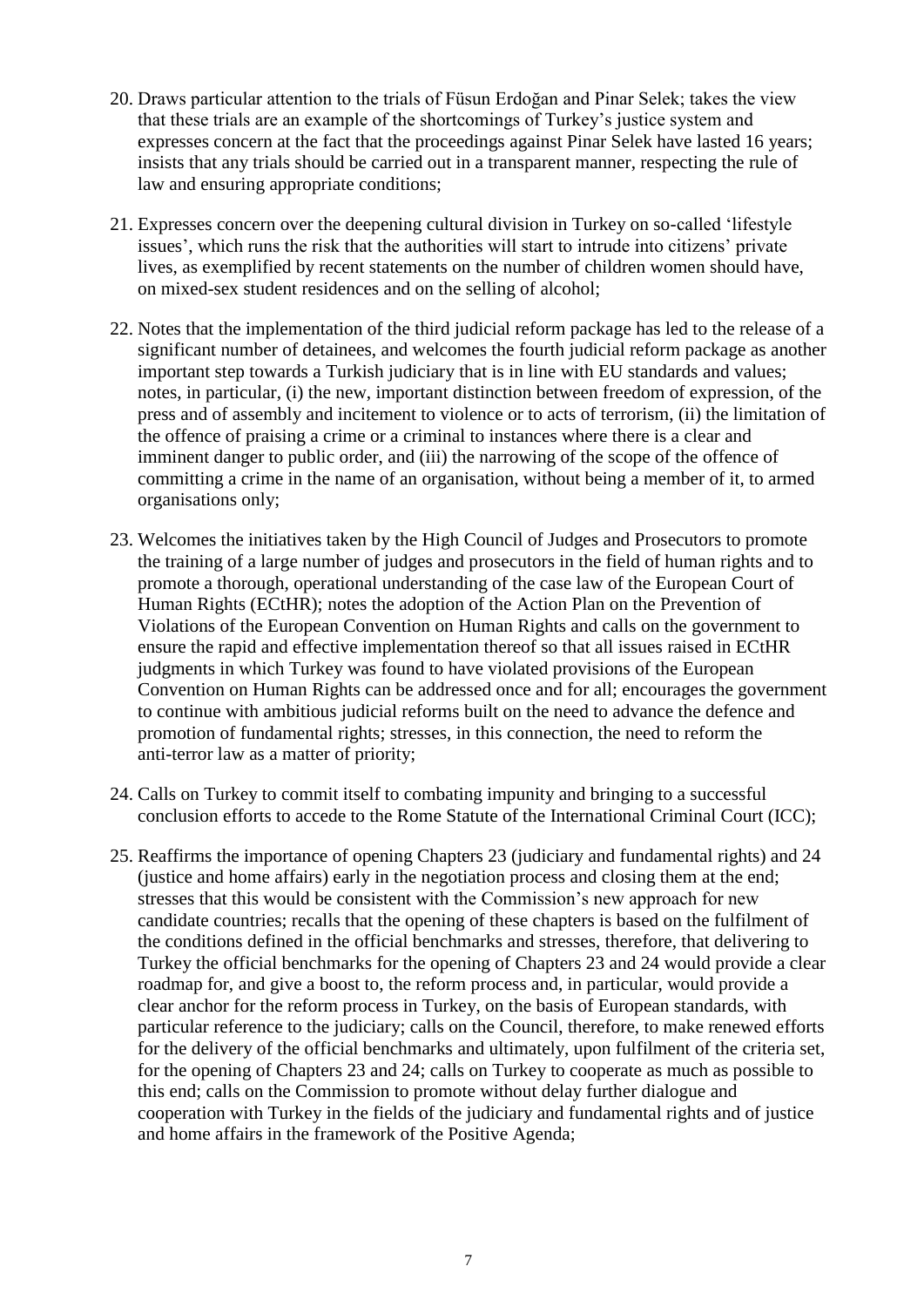- 20. Draws particular attention to the trials of Füsun Erdoğan and Pinar Selek; takes the view that these trials are an example of the shortcomings of Turkey's justice system and expresses concern at the fact that the proceedings against Pinar Selek have lasted 16 years; insists that any trials should be carried out in a transparent manner, respecting the rule of law and ensuring appropriate conditions;
- 21. Expresses concern over the deepening cultural division in Turkey on so-called 'lifestyle issues', which runs the risk that the authorities will start to intrude into citizens' private lives, as exemplified by recent statements on the number of children women should have, on mixed-sex student residences and on the selling of alcohol;
- 22. Notes that the implementation of the third judicial reform package has led to the release of a significant number of detainees, and welcomes the fourth judicial reform package as another important step towards a Turkish judiciary that is in line with EU standards and values; notes, in particular, (i) the new, important distinction between freedom of expression, of the press and of assembly and incitement to violence or to acts of terrorism, (ii) the limitation of the offence of praising a crime or a criminal to instances where there is a clear and imminent danger to public order, and (iii) the narrowing of the scope of the offence of committing a crime in the name of an organisation, without being a member of it, to armed organisations only;
- 23. Welcomes the initiatives taken by the High Council of Judges and Prosecutors to promote the training of a large number of judges and prosecutors in the field of human rights and to promote a thorough, operational understanding of the case law of the European Court of Human Rights (ECtHR); notes the adoption of the Action Plan on the Prevention of Violations of the European Convention on Human Rights and calls on the government to ensure the rapid and effective implementation thereof so that all issues raised in ECtHR judgments in which Turkey was found to have violated provisions of the European Convention on Human Rights can be addressed once and for all; encourages the government to continue with ambitious judicial reforms built on the need to advance the defence and promotion of fundamental rights; stresses, in this connection, the need to reform the anti-terror law as a matter of priority;
- 24. Calls on Turkey to commit itself to combating impunity and bringing to a successful conclusion efforts to accede to the Rome Statute of the International Criminal Court (ICC);
- 25. Reaffirms the importance of opening Chapters 23 (judiciary and fundamental rights) and 24 (justice and home affairs) early in the negotiation process and closing them at the end; stresses that this would be consistent with the Commission's new approach for new candidate countries; recalls that the opening of these chapters is based on the fulfilment of the conditions defined in the official benchmarks and stresses, therefore, that delivering to Turkey the official benchmarks for the opening of Chapters 23 and 24 would provide a clear roadmap for, and give a boost to, the reform process and, in particular, would provide a clear anchor for the reform process in Turkey, on the basis of European standards, with particular reference to the judiciary; calls on the Council, therefore, to make renewed efforts for the delivery of the official benchmarks and ultimately, upon fulfilment of the criteria set, for the opening of Chapters 23 and 24; calls on Turkey to cooperate as much as possible to this end; calls on the Commission to promote without delay further dialogue and cooperation with Turkey in the fields of the judiciary and fundamental rights and of justice and home affairs in the framework of the Positive Agenda;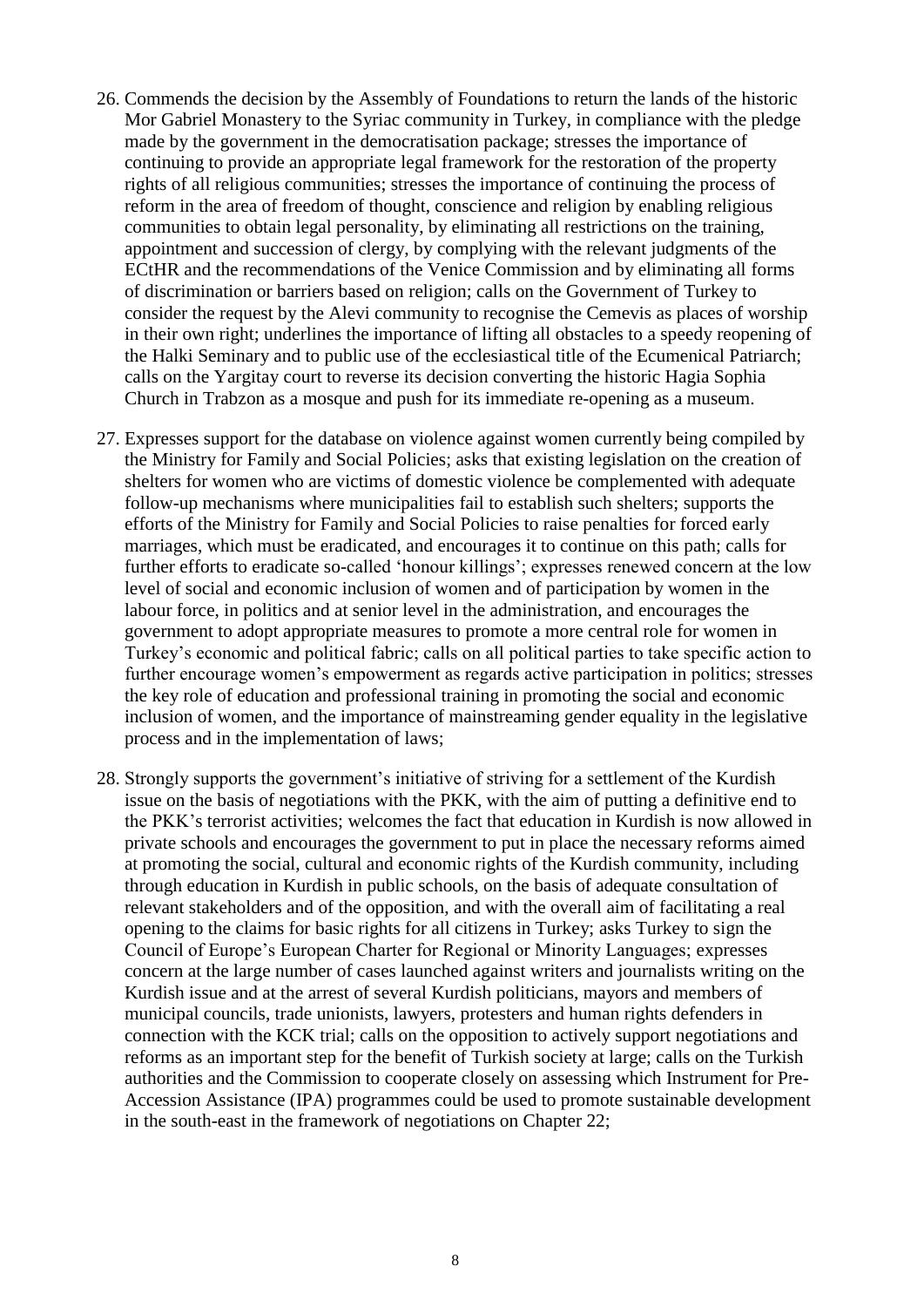- 26. Commends the decision by the Assembly of Foundations to return the lands of the historic Mor Gabriel Monastery to the Syriac community in Turkey, in compliance with the pledge made by the government in the democratisation package; stresses the importance of continuing to provide an appropriate legal framework for the restoration of the property rights of all religious communities; stresses the importance of continuing the process of reform in the area of freedom of thought, conscience and religion by enabling religious communities to obtain legal personality, by eliminating all restrictions on the training, appointment and succession of clergy, by complying with the relevant judgments of the ECtHR and the recommendations of the Venice Commission and by eliminating all forms of discrimination or barriers based on religion; calls on the Government of Turkey to consider the request by the Alevi community to recognise the Cemevis as places of worship in their own right; underlines the importance of lifting all obstacles to a speedy reopening of the Halki Seminary and to public use of the ecclesiastical title of the Ecumenical Patriarch; calls on the Yargitay court to reverse its decision converting the historic Hagia Sophia Church in Trabzon as a mosque and push for its immediate re-opening as a museum.
- 27. Expresses support for the database on violence against women currently being compiled by the Ministry for Family and Social Policies; asks that existing legislation on the creation of shelters for women who are victims of domestic violence be complemented with adequate follow-up mechanisms where municipalities fail to establish such shelters; supports the efforts of the Ministry for Family and Social Policies to raise penalties for forced early marriages, which must be eradicated, and encourages it to continue on this path; calls for further efforts to eradicate so-called 'honour killings'; expresses renewed concern at the low level of social and economic inclusion of women and of participation by women in the labour force, in politics and at senior level in the administration, and encourages the government to adopt appropriate measures to promote a more central role for women in Turkey's economic and political fabric; calls on all political parties to take specific action to further encourage women's empowerment as regards active participation in politics; stresses the key role of education and professional training in promoting the social and economic inclusion of women, and the importance of mainstreaming gender equality in the legislative process and in the implementation of laws;
- 28. Strongly supports the government's initiative of striving for a settlement of the Kurdish issue on the basis of negotiations with the PKK, with the aim of putting a definitive end to the PKK's terrorist activities; welcomes the fact that education in Kurdish is now allowed in private schools and encourages the government to put in place the necessary reforms aimed at promoting the social, cultural and economic rights of the Kurdish community, including through education in Kurdish in public schools, on the basis of adequate consultation of relevant stakeholders and of the opposition, and with the overall aim of facilitating a real opening to the claims for basic rights for all citizens in Turkey; asks Turkey to sign the Council of Europe's European Charter for Regional or Minority Languages; expresses concern at the large number of cases launched against writers and journalists writing on the Kurdish issue and at the arrest of several Kurdish politicians, mayors and members of municipal councils, trade unionists, lawyers, protesters and human rights defenders in connection with the KCK trial; calls on the opposition to actively support negotiations and reforms as an important step for the benefit of Turkish society at large; calls on the Turkish authorities and the Commission to cooperate closely on assessing which Instrument for Pre-Accession Assistance (IPA) programmes could be used to promote sustainable development in the south-east in the framework of negotiations on Chapter 22;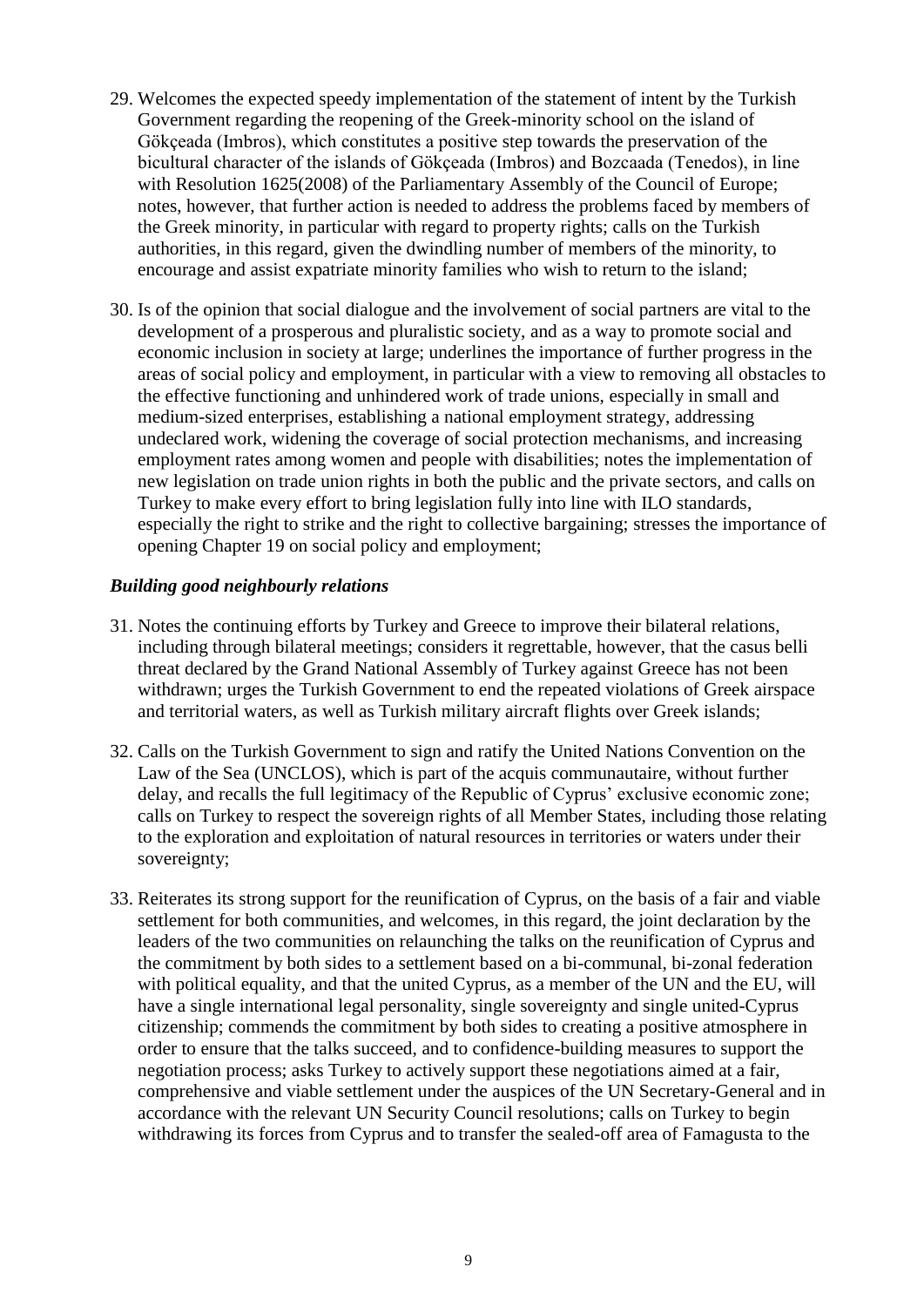- 29. Welcomes the expected speedy implementation of the statement of intent by the Turkish Government regarding the reopening of the Greek-minority school on the island of Gökçeada (Imbros), which constitutes a positive step towards the preservation of the bicultural character of the islands of Gökçeada (Imbros) and Bozcaada (Tenedos), in line with Resolution 1625(2008) of the Parliamentary Assembly of the Council of Europe; notes, however, that further action is needed to address the problems faced by members of the Greek minority, in particular with regard to property rights; calls on the Turkish authorities, in this regard, given the dwindling number of members of the minority, to encourage and assist expatriate minority families who wish to return to the island;
- 30. Is of the opinion that social dialogue and the involvement of social partners are vital to the development of a prosperous and pluralistic society, and as a way to promote social and economic inclusion in society at large; underlines the importance of further progress in the areas of social policy and employment, in particular with a view to removing all obstacles to the effective functioning and unhindered work of trade unions, especially in small and medium-sized enterprises, establishing a national employment strategy, addressing undeclared work, widening the coverage of social protection mechanisms, and increasing employment rates among women and people with disabilities; notes the implementation of new legislation on trade union rights in both the public and the private sectors, and calls on Turkey to make every effort to bring legislation fully into line with ILO standards, especially the right to strike and the right to collective bargaining; stresses the importance of opening Chapter 19 on social policy and employment;

## *Building good neighbourly relations*

- 31. Notes the continuing efforts by Turkey and Greece to improve their bilateral relations, including through bilateral meetings; considers it regrettable, however, that the casus belli threat declared by the Grand National Assembly of Turkey against Greece has not been withdrawn; urges the Turkish Government to end the repeated violations of Greek airspace and territorial waters, as well as Turkish military aircraft flights over Greek islands;
- 32. Calls on the Turkish Government to sign and ratify the United Nations Convention on the Law of the Sea (UNCLOS), which is part of the acquis communautaire, without further delay, and recalls the full legitimacy of the Republic of Cyprus' exclusive economic zone; calls on Turkey to respect the sovereign rights of all Member States, including those relating to the exploration and exploitation of natural resources in territories or waters under their sovereignty;
- 33. Reiterates its strong support for the reunification of Cyprus, on the basis of a fair and viable settlement for both communities, and welcomes, in this regard, the joint declaration by the leaders of the two communities on relaunching the talks on the reunification of Cyprus and the commitment by both sides to a settlement based on a bi-communal, bi-zonal federation with political equality, and that the united Cyprus, as a member of the UN and the EU, will have a single international legal personality, single sovereignty and single united-Cyprus citizenship; commends the commitment by both sides to creating a positive atmosphere in order to ensure that the talks succeed, and to confidence-building measures to support the negotiation process; asks Turkey to actively support these negotiations aimed at a fair, comprehensive and viable settlement under the auspices of the UN Secretary-General and in accordance with the relevant UN Security Council resolutions; calls on Turkey to begin withdrawing its forces from Cyprus and to transfer the sealed-off area of Famagusta to the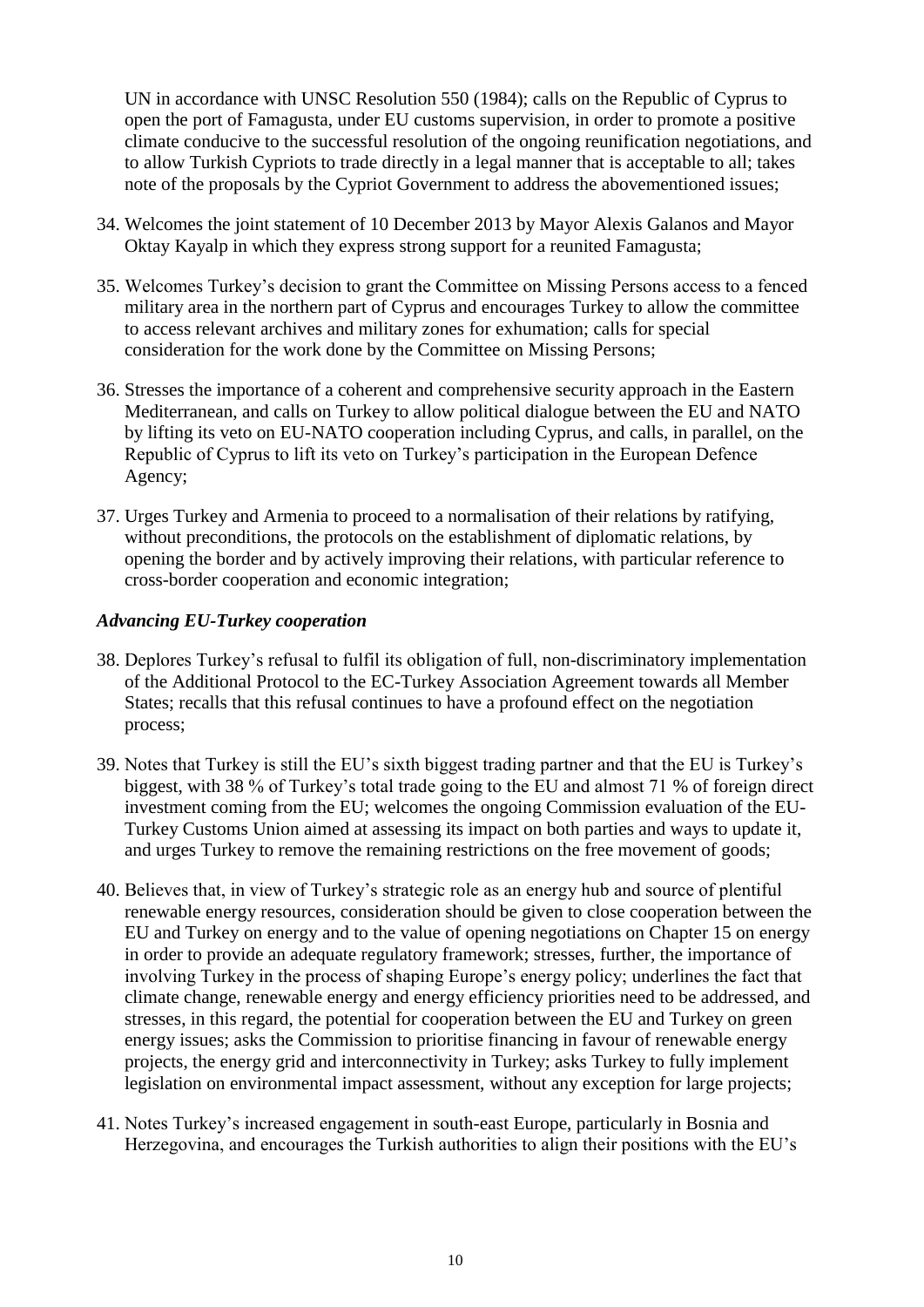UN in accordance with UNSC Resolution 550 (1984); calls on the Republic of Cyprus to open the port of Famagusta, under EU customs supervision, in order to promote a positive climate conducive to the successful resolution of the ongoing reunification negotiations, and to allow Turkish Cypriots to trade directly in a legal manner that is acceptable to all; takes note of the proposals by the Cypriot Government to address the abovementioned issues;

- 34. Welcomes the joint statement of 10 December 2013 by Mayor Alexis Galanos and Mayor Oktay Kayalp in which they express strong support for a reunited Famagusta;
- 35. Welcomes Turkey's decision to grant the Committee on Missing Persons access to a fenced military area in the northern part of Cyprus and encourages Turkey to allow the committee to access relevant archives and military zones for exhumation; calls for special consideration for the work done by the Committee on Missing Persons;
- 36. Stresses the importance of a coherent and comprehensive security approach in the Eastern Mediterranean, and calls on Turkey to allow political dialogue between the EU and NATO by lifting its veto on EU-NATO cooperation including Cyprus, and calls, in parallel, on the Republic of Cyprus to lift its veto on Turkey's participation in the European Defence Agency;
- 37. Urges Turkey and Armenia to proceed to a normalisation of their relations by ratifying, without preconditions, the protocols on the establishment of diplomatic relations, by opening the border and by actively improving their relations, with particular reference to cross-border cooperation and economic integration;

#### *Advancing EU-Turkey cooperation*

- 38. Deplores Turkey's refusal to fulfil its obligation of full, non-discriminatory implementation of the Additional Protocol to the EC-Turkey Association Agreement towards all Member States; recalls that this refusal continues to have a profound effect on the negotiation process;
- 39. Notes that Turkey is still the EU's sixth biggest trading partner and that the EU is Turkey's biggest, with 38 % of Turkey's total trade going to the EU and almost 71 % of foreign direct investment coming from the EU; welcomes the ongoing Commission evaluation of the EU-Turkey Customs Union aimed at assessing its impact on both parties and ways to update it, and urges Turkey to remove the remaining restrictions on the free movement of goods;
- 40. Believes that, in view of Turkey's strategic role as an energy hub and source of plentiful renewable energy resources, consideration should be given to close cooperation between the EU and Turkey on energy and to the value of opening negotiations on Chapter 15 on energy in order to provide an adequate regulatory framework; stresses, further, the importance of involving Turkey in the process of shaping Europe's energy policy; underlines the fact that climate change, renewable energy and energy efficiency priorities need to be addressed, and stresses, in this regard, the potential for cooperation between the EU and Turkey on green energy issues; asks the Commission to prioritise financing in favour of renewable energy projects, the energy grid and interconnectivity in Turkey; asks Turkey to fully implement legislation on environmental impact assessment, without any exception for large projects;
- 41. Notes Turkey's increased engagement in south-east Europe, particularly in Bosnia and Herzegovina, and encourages the Turkish authorities to align their positions with the EU's